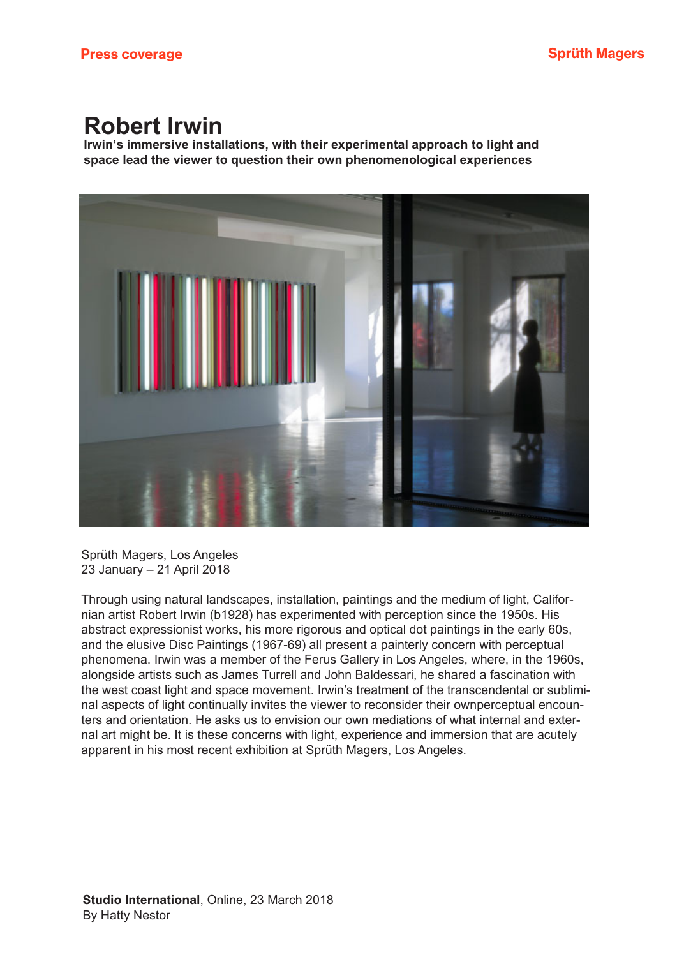## **Robert Irwin**

Irwin's immersive installations, with their experimental approach to light and space lead the viewer to question their own phenomenological experiences



Sprüth Magers, Los Angeles 23 January – 21 April 2018

Through using natural landscapes, installation, paintings and the medium of light, Californian artist Robert Irwin (b1928) has experimented with perception since the 1950s. His abstract expressionist works, his more rigorous and optical dot paintings in the early 60s, and the elusive Disc Paintings (1967-69) all present a painterly concern with perceptual phenomena. Irwin was a member of the Ferus Gallery in Los Angeles, where, in the 1960s, alongside artists such as James Turrell and John Baldessari, he shared a fascination with the west coast light and space movement. Irwin's treatment of the transcendental or subliminal aspects of light continually invites the viewer to reconsider their ownperceptual encounters and orientation. He asks us to envision our own mediations of what internal and external art might be. It is these concerns with light, experience and immersion that are acutely apparent in his most recent exhibition at Sprüth Magers, Los Angeles.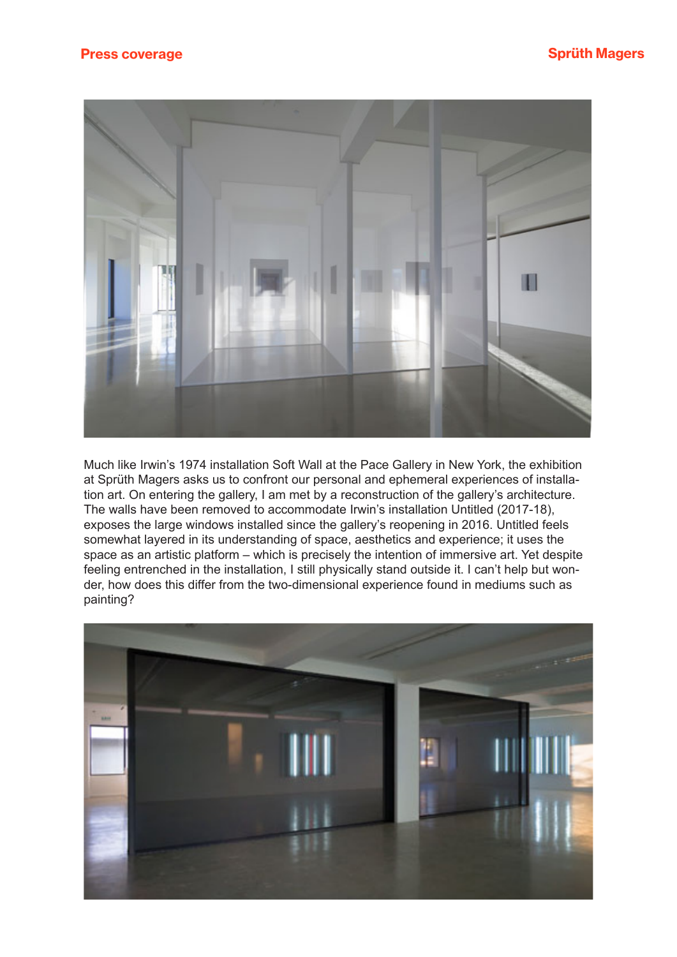

Much like Irwin's 1974 installation Soft Wall at the Pace Gallery in New York, the exhibition at Sprüth Magers asks us to confront our personal and ephemeral experiences of installation art. On entering the gallery, I am met by a reconstruction of the gallery's architecture. The walls have been removed to accommodate Irwin's installation Untitled (2017-18), exposes the large windows installed since the gallery's reopening in 2016. Untitled feels somewhat layered in its understanding of space, aesthetics and experience; it uses the space as an artistic platform – which is precisely the intention of immersive art. Yet despite feeling entrenched in the installation, I still physically stand outside it. I can't help but wonder, how does this differ from the two-dimensional experience found in mediums such as painting?

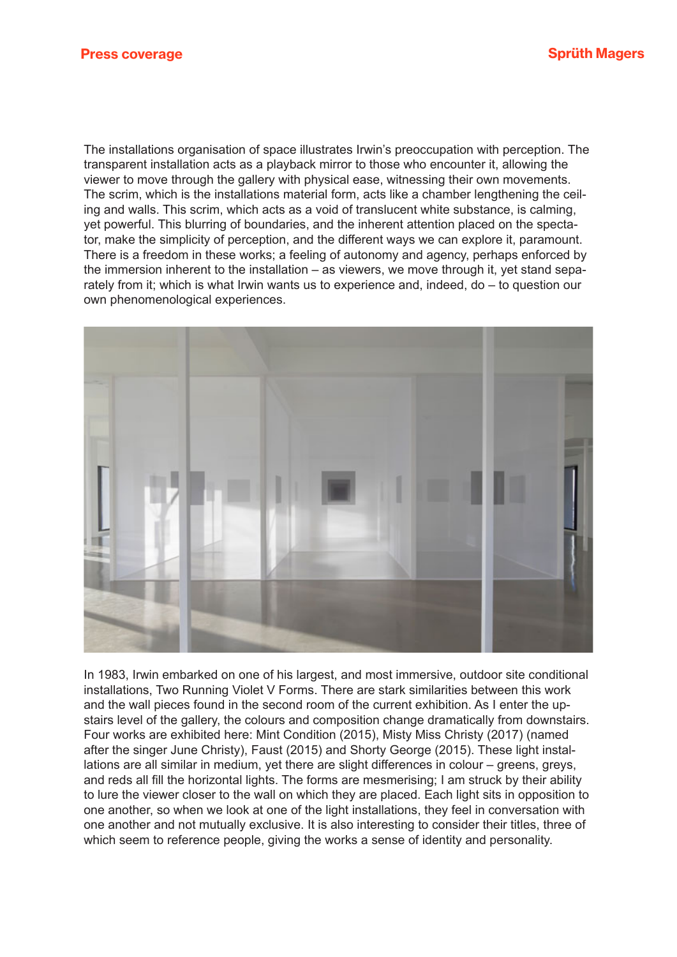The installations organisation of space illustrates Irwin's preoccupation with perception. The transparent installation acts as a playback mirror to those who encounter it, allowing the viewer to move through the gallery with physical ease, witnessing their own movements. The scrim, which is the installations material form, acts like a chamber lengthening the ceiling and walls. This scrim, which acts as a void of translucent white substance, is calming, yet powerful. This blurring of boundaries, and the inherent attention placed on the spectator, make the simplicity of perception, and the different ways we can explore it, paramount. There is a freedom in these works; a feeling of autonomy and agency, perhaps enforced by the immersion inherent to the installation – as viewers, we move through it, yet stand separately from it; which is what Irwin wants us to experience and, indeed, do – to question our own phenomenological experiences.



In 1983, Irwin embarked on one of his largest, and most immersive, outdoor site conditional installations, Two Running Violet V Forms. There are stark similarities between this work and the wall pieces found in the second room of the current exhibition. As I enter the upstairs level of the gallery, the colours and composition change dramatically from downstairs. Four works are exhibited here: Mint Condition (2015), Misty Miss Christy (2017) (named after the singer June Christy), Faust (2015) and Shorty George (2015). These light installations are all similar in medium, yet there are slight differences in colour – greens, greys, and reds all fill the horizontal lights. The forms are mesmerising; I am struck by their ability to lure the viewer closer to the wall on which they are placed. Each light sits in opposition to one another, so when we look at one of the light installations, they feel in conversation with one another and not mutually exclusive. It is also interesting to consider their titles, three of which seem to reference people, giving the works a sense of identity and personality.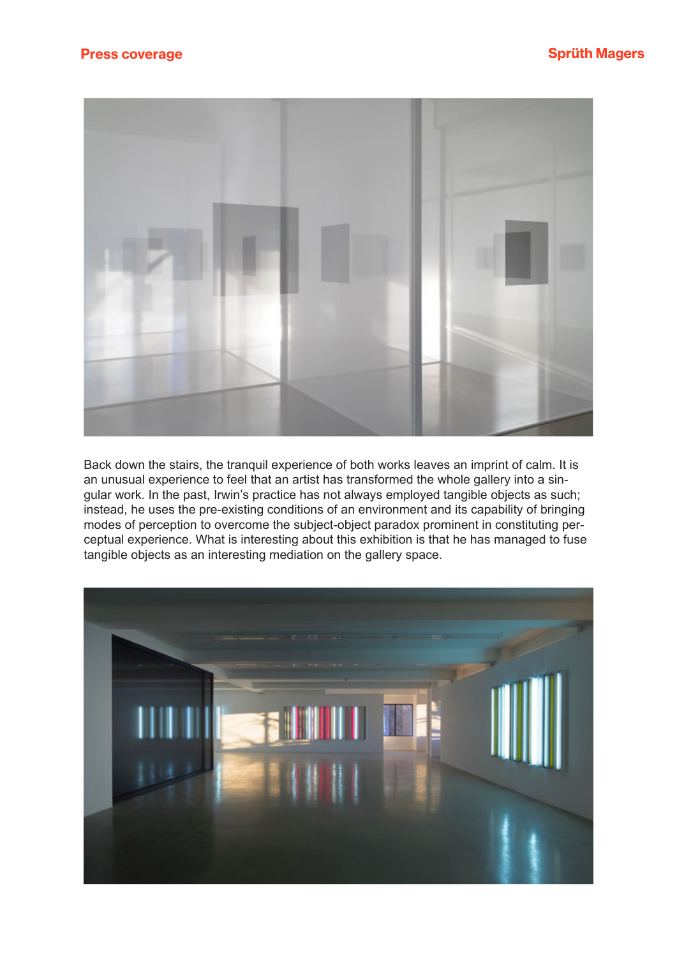

Back down the stairs, the tranquil experience of both works leaves an imprint of calm. It is an unusual experience to feel that an artist has transformed the whole gallery into a singular work. In the past, Irwin's practice has not always employed tangible objects as such; instead, he uses the pre-existing conditions of an environment and its capability of bringing modes of perception to overcome the subject-object paradox prominent in constituting perceptual experience. What is interesting about this exhibition is that he has managed to fuse tangible objects as an interesting mediation on the gallery space.